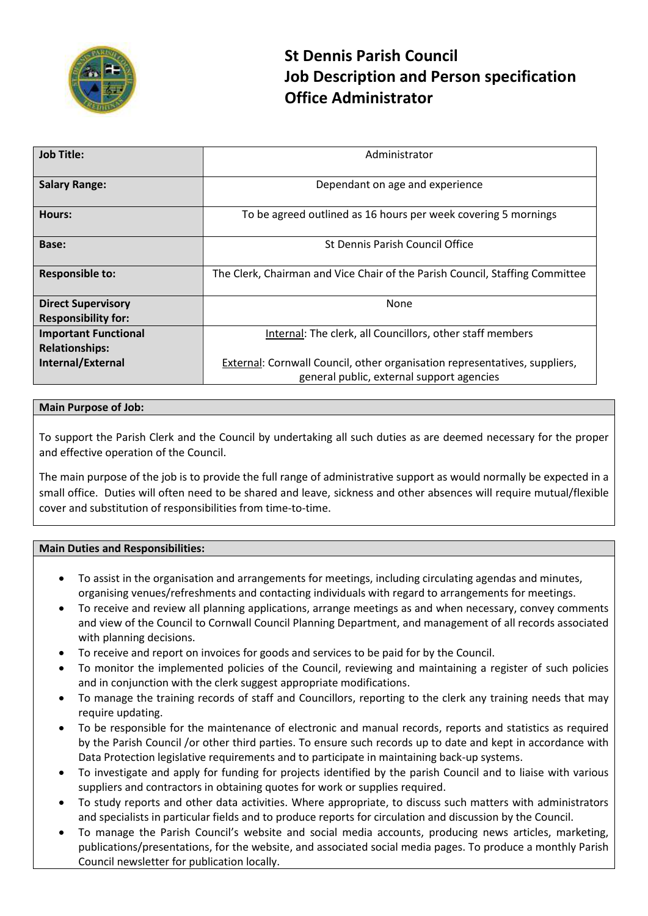

| <b>Job Title:</b>                                       | Administrator                                                                |  |  |
|---------------------------------------------------------|------------------------------------------------------------------------------|--|--|
| <b>Salary Range:</b>                                    | Dependant on age and experience                                              |  |  |
| Hours:                                                  | To be agreed outlined as 16 hours per week covering 5 mornings               |  |  |
| Base:                                                   | St Dennis Parish Council Office                                              |  |  |
| <b>Responsible to:</b>                                  | The Clerk, Chairman and Vice Chair of the Parish Council, Staffing Committee |  |  |
| <b>Direct Supervisory</b><br><b>Responsibility for:</b> | None                                                                         |  |  |
| <b>Important Functional</b>                             | Internal: The clerk, all Councillors, other staff members                    |  |  |
| <b>Relationships:</b>                                   |                                                                              |  |  |
| Internal/External                                       | External: Cornwall Council, other organisation representatives, suppliers,   |  |  |
|                                                         | general public, external support agencies                                    |  |  |

### **Main Purpose of Job:**

To support the Parish Clerk and the Council by undertaking all such duties as are deemed necessary for the proper and effective operation of the Council.

The main purpose of the job is to provide the full range of administrative support as would normally be expected in a small office. Duties will often need to be shared and leave, sickness and other absences will require mutual/flexible cover and substitution of responsibilities from time-to-time.

#### **Main Duties and Responsibilities:**

- To assist in the organisation and arrangements for meetings, including circulating agendas and minutes, organising venues/refreshments and contacting individuals with regard to arrangements for meetings.
- To receive and review all planning applications, arrange meetings as and when necessary, convey comments and view of the Council to Cornwall Council Planning Department, and management of all records associated with planning decisions.
- To receive and report on invoices for goods and services to be paid for by the Council.
- To monitor the implemented policies of the Council, reviewing and maintaining a register of such policies and in conjunction with the clerk suggest appropriate modifications.
- To manage the training records of staff and Councillors, reporting to the clerk any training needs that may require updating.
- To be responsible for the maintenance of electronic and manual records, reports and statistics as required by the Parish Council /or other third parties. To ensure such records up to date and kept in accordance with Data Protection legislative requirements and to participate in maintaining back-up systems.
- To investigate and apply for funding for projects identified by the parish Council and to liaise with various suppliers and contractors in obtaining quotes for work or supplies required.
- To study reports and other data activities. Where appropriate, to discuss such matters with administrators and specialists in particular fields and to produce reports for circulation and discussion by the Council.
- To manage the Parish Council's website and social media accounts, producing news articles, marketing, publications/presentations, for the website, and associated social media pages. To produce a monthly Parish Council newsletter for publication locally.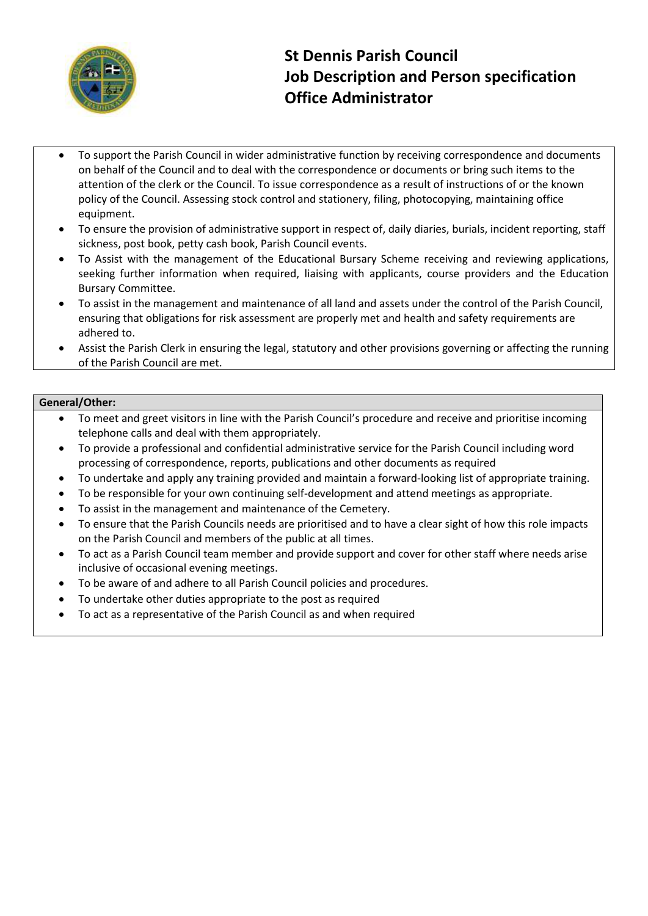

- To support the Parish Council in wider administrative function by receiving correspondence and documents on behalf of the Council and to deal with the correspondence or documents or bring such items to the attention of the clerk or the Council. To issue correspondence as a result of instructions of or the known policy of the Council. Assessing stock control and stationery, filing, photocopying, maintaining office equipment.
- To ensure the provision of administrative support in respect of, daily diaries, burials, incident reporting, staff sickness, post book, petty cash book, Parish Council events.
- To Assist with the management of the Educational Bursary Scheme receiving and reviewing applications, seeking further information when required, liaising with applicants, course providers and the Education Bursary Committee.
- To assist in the management and maintenance of all land and assets under the control of the Parish Council, ensuring that obligations for risk assessment are properly met and health and safety requirements are adhered to.
- Assist the Parish Clerk in ensuring the legal, statutory and other provisions governing or affecting the running of the Parish Council are met.

### **General/Other:**

- To meet and greet visitors in line with the Parish Council's procedure and receive and prioritise incoming telephone calls and deal with them appropriately.
- To provide a professional and confidential administrative service for the Parish Council including word processing of correspondence, reports, publications and other documents as required
- To undertake and apply any training provided and maintain a forward-looking list of appropriate training.
- To be responsible for your own continuing self-development and attend meetings as appropriate.
- To assist in the management and maintenance of the Cemetery.
- To ensure that the Parish Councils needs are prioritised and to have a clear sight of how this role impacts on the Parish Council and members of the public at all times.
- To act as a Parish Council team member and provide support and cover for other staff where needs arise inclusive of occasional evening meetings.
- To be aware of and adhere to all Parish Council policies and procedures.
- To undertake other duties appropriate to the post as required
- To act as a representative of the Parish Council as and when required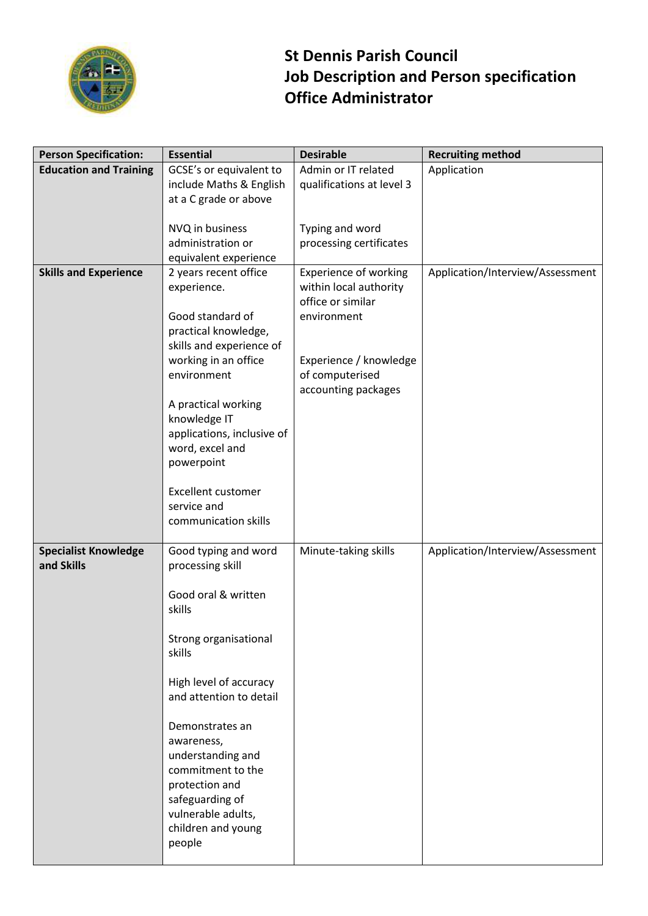

| <b>Person Specification:</b>  | <b>Essential</b>                         | <b>Desirable</b>                            | <b>Recruiting method</b>         |
|-------------------------------|------------------------------------------|---------------------------------------------|----------------------------------|
| <b>Education and Training</b> | GCSE's or equivalent to                  | Admin or IT related                         | Application                      |
|                               | include Maths & English                  | qualifications at level 3                   |                                  |
|                               | at a C grade or above                    |                                             |                                  |
|                               | NVQ in business                          | Typing and word                             |                                  |
|                               | administration or                        | processing certificates                     |                                  |
|                               | equivalent experience                    |                                             |                                  |
| <b>Skills and Experience</b>  | 2 years recent office                    | <b>Experience of working</b>                | Application/Interview/Assessment |
|                               | experience.                              | within local authority<br>office or similar |                                  |
|                               | Good standard of                         | environment                                 |                                  |
|                               | practical knowledge,                     |                                             |                                  |
|                               | skills and experience of                 |                                             |                                  |
|                               | working in an office                     | Experience / knowledge                      |                                  |
|                               | environment                              | of computerised<br>accounting packages      |                                  |
|                               | A practical working                      |                                             |                                  |
|                               | knowledge IT                             |                                             |                                  |
|                               | applications, inclusive of               |                                             |                                  |
|                               | word, excel and                          |                                             |                                  |
|                               | powerpoint                               |                                             |                                  |
|                               | <b>Excellent customer</b>                |                                             |                                  |
|                               | service and                              |                                             |                                  |
|                               | communication skills                     |                                             |                                  |
| <b>Specialist Knowledge</b>   |                                          |                                             | Application/Interview/Assessment |
| and Skills                    | Good typing and word<br>processing skill | Minute-taking skills                        |                                  |
|                               |                                          |                                             |                                  |
|                               | Good oral & written                      |                                             |                                  |
|                               | skills                                   |                                             |                                  |
|                               | Strong organisational                    |                                             |                                  |
|                               | skills                                   |                                             |                                  |
|                               |                                          |                                             |                                  |
|                               | High level of accuracy                   |                                             |                                  |
|                               | and attention to detail                  |                                             |                                  |
|                               | Demonstrates an                          |                                             |                                  |
|                               | awareness,                               |                                             |                                  |
|                               | understanding and                        |                                             |                                  |
|                               | commitment to the                        |                                             |                                  |
|                               | protection and<br>safeguarding of        |                                             |                                  |
|                               | vulnerable adults,                       |                                             |                                  |
|                               | children and young                       |                                             |                                  |
|                               | people                                   |                                             |                                  |
|                               |                                          |                                             |                                  |